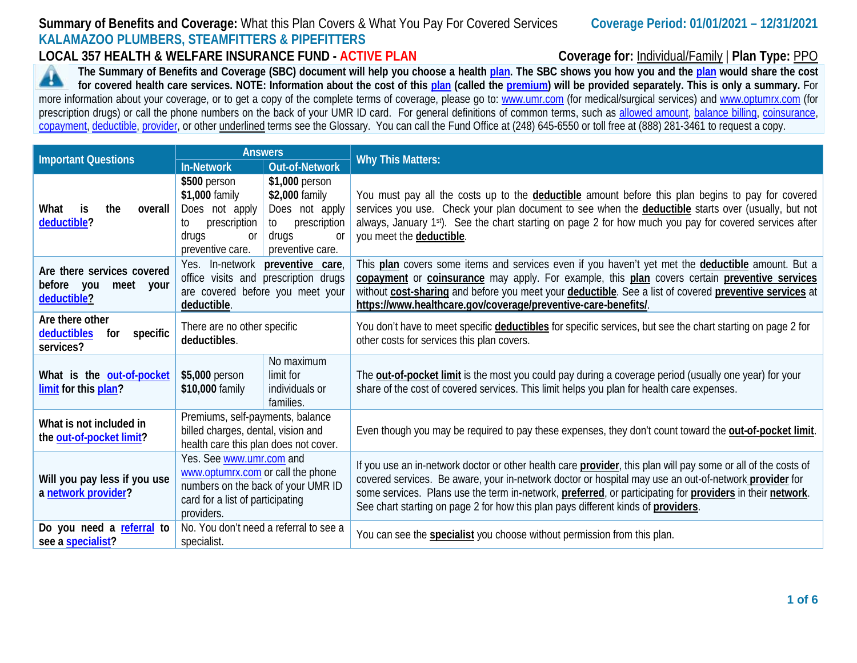## **Summary of Benefits and Coverage:** What this Plan Covers & What You Pay For Covered Services **Coverage Period: 01/01/2021 – 12/31/2021 KALAMAZOO PLUMBERS, STEAMFITTERS & PIPEFITTERS**

**LOCAL 357 HEALTH & WELFARE INSURANCE FUND - ACTIVE PLAN Coverage for:** Individual/Family | **Plan Type:** PPO

**The Summary of Benefits and Coverage (SBC) document will help you choose a health [plan.](https://www.healthcare.gov/sbc-glossary/#plan) The SBC shows you how you and the [plan](https://www.healthcare.gov/sbc-glossary/#plan) would share the cost**  44 **for covered health care services. NOTE: Information about the cost of this [plan](https://www.healthcare.gov/sbc-glossary/#plan) (called the [premium\)](https://www.healthcare.gov/sbc-glossary/#premium) will be provided separately. This is only a summary.** For more information about your coverage, or to get a copy of the complete terms of coverage, please go to: [www.umr.com](http://www.umr.com/) (for medical/surgical services) and [www.optumrx.com](http://www.optumrx.com/) (for prescription drugs) or call the phone numbers on the back of your UMR ID card. For general definitions of common terms, such as [allowed amount,](https://www.healthcare.gov/sbc-glossary/#allowed-amount) [balance billing,](https://www.healthcare.gov/sbc-glossary/#balance-billing) coinsurance, [copayment,](https://www.healthcare.gov/sbc-glossary/#copayment) [deductible,](https://www.healthcare.gov/sbc-glossary/#deductible) [provider,](https://www.healthcare.gov/sbc-glossary/#provider) or other underlined terms see the Glossary. You can call the Fund Office at (248) 645-6550 or toll free at (888) 281-3461 to request a copy.

| <b>Important Questions</b>                                                                                                                                                                                   | <b>Answers</b>                                                                                                                 |                                                                                                             | <b>Why This Matters:</b>                                                                                                                                                                                                                                                                                                                                                                                                 |  |  |  |  |
|--------------------------------------------------------------------------------------------------------------------------------------------------------------------------------------------------------------|--------------------------------------------------------------------------------------------------------------------------------|-------------------------------------------------------------------------------------------------------------|--------------------------------------------------------------------------------------------------------------------------------------------------------------------------------------------------------------------------------------------------------------------------------------------------------------------------------------------------------------------------------------------------------------------------|--|--|--|--|
|                                                                                                                                                                                                              | <b>In-Network</b>                                                                                                              | <b>Out-of-Network</b>                                                                                       |                                                                                                                                                                                                                                                                                                                                                                                                                          |  |  |  |  |
| the<br>What<br>is<br>overall<br>deductible?                                                                                                                                                                  | \$500 person<br>\$1,000 family<br>Does not apply<br>prescription<br>to<br>drugs<br>0r<br>preventive care.                      | \$1,000 person<br>\$2,000 family<br>Does not apply<br>prescription<br>to<br>drugs<br>0r<br>preventive care. | You must pay all the costs up to the <b>deductible</b> amount before this plan begins to pay for covered<br>services you use. Check your plan document to see when the <b>deductible</b> starts over (usually, but not<br>always, January 1st). See the chart starting on page 2 for how much you pay for covered services after<br>you meet the deductible.                                                             |  |  |  |  |
| Are there services covered<br>before you<br>meet<br>your<br>deductible?                                                                                                                                      | Yes. In-network<br>preventive care,<br>office visits and prescription drugs<br>are covered before you meet your<br>deductible. |                                                                                                             | This plan covers some items and services even if you haven't yet met the deductible amount. But a<br>copayment or coinsurance may apply. For example, this plan covers certain preventive services<br>without cost-sharing and before you meet your deductible. See a list of covered preventive services at<br>https://www.healthcare.gov/coverage/preventive-care-benefits/.                                           |  |  |  |  |
| Are there other<br>deductibles<br>specific<br>for<br>services?                                                                                                                                               | There are no other specific<br>deductibles.                                                                                    |                                                                                                             | You don't have to meet specific deductibles for specific services, but see the chart starting on page 2 for<br>other costs for services this plan covers.                                                                                                                                                                                                                                                                |  |  |  |  |
| What is the out-of-pocket<br>limit for this plan?                                                                                                                                                            | \$5,000 person<br>\$10,000 family                                                                                              | No maximum<br>limit for<br>individuals or<br>families.                                                      | The <b>out-of-pocket limit</b> is the most you could pay during a coverage period (usually one year) for your<br>share of the cost of covered services. This limit helps you plan for health care expenses.                                                                                                                                                                                                              |  |  |  |  |
| Premiums, self-payments, balance<br>What is not included in<br>billed charges, dental, vision and<br>the out-of-pocket limit?<br>health care this plan does not cover.                                       |                                                                                                                                |                                                                                                             | Even though you may be required to pay these expenses, they don't count toward the <b>out-of-pocket limit</b> .                                                                                                                                                                                                                                                                                                          |  |  |  |  |
| Yes. See www.umr.com and<br>www.optumrx.com or call the phone<br>Will you pay less if you use<br>numbers on the back of your UMR ID<br>a network provider?<br>card for a list of participating<br>providers. |                                                                                                                                |                                                                                                             | If you use an in-network doctor or other health care provider, this plan will pay some or all of the costs of<br>covered services. Be aware, your in-network doctor or hospital may use an out-of-network provider for<br>some services. Plans use the term in-network, preferred, or participating for providers in their network.<br>See chart starting on page 2 for how this plan pays different kinds of providers. |  |  |  |  |
| No. You don't need a referral to see a<br>Do you need a referral to<br>see a specialist?<br>specialist.                                                                                                      |                                                                                                                                |                                                                                                             | You can see the <b>specialist</b> you choose without permission from this plan.                                                                                                                                                                                                                                                                                                                                          |  |  |  |  |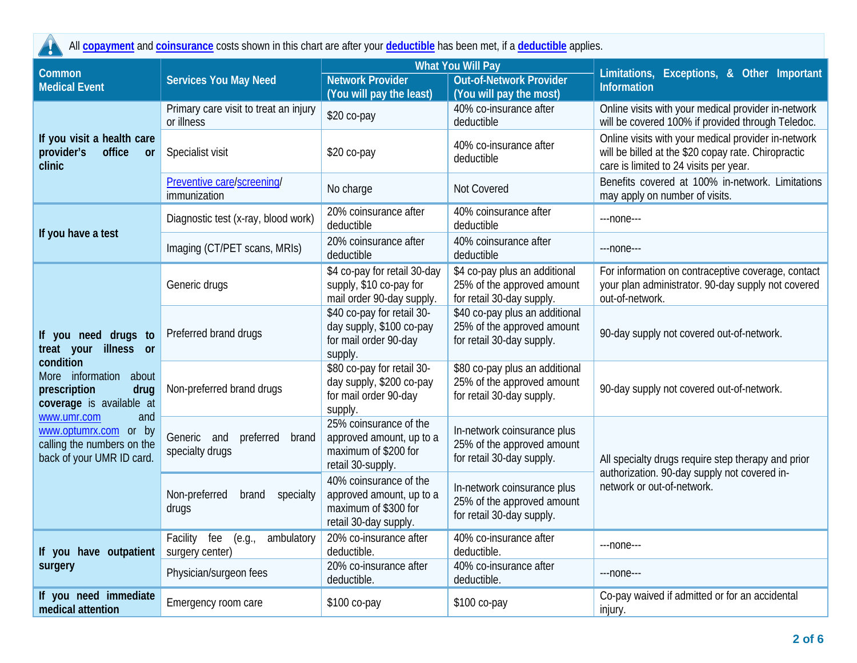$\blacktriangle$ All **[copayment](https://www.healthcare.gov/sbc-glossary/#copayment)** and **[coinsurance](https://www.healthcare.gov/sbc-glossary/#coinsurance)** costs shown in this chart are after your **[deductible](https://www.healthcare.gov/sbc-glossary/#deductible)** has been met, if a **[deductible](https://www.healthcare.gov/sbc-glossary/#deductible)** applies.

| Common                                                                                                 |                                                            |                                                                                                     | <b>What You Will Pay</b>                                                                  | Limitations, Exceptions, & Other Important<br>Information                                                                                            |  |
|--------------------------------------------------------------------------------------------------------|------------------------------------------------------------|-----------------------------------------------------------------------------------------------------|-------------------------------------------------------------------------------------------|------------------------------------------------------------------------------------------------------------------------------------------------------|--|
| <b>Medical Event</b>                                                                                   | <b>Services You May Need</b>                               | <b>Network Provider</b>                                                                             | <b>Out-of-Network Provider</b>                                                            |                                                                                                                                                      |  |
|                                                                                                        |                                                            | (You will pay the least)                                                                            | (You will pay the most)                                                                   |                                                                                                                                                      |  |
|                                                                                                        | Primary care visit to treat an injury<br>or illness        | \$20 co-pay                                                                                         | 40% co-insurance after<br>deductible                                                      | Online visits with your medical provider in-network<br>will be covered 100% if provided through Teledoc.                                             |  |
| If you visit a health care<br>provider's<br>office<br><b>or</b><br>clinic                              | Specialist visit                                           | \$20 co-pay                                                                                         | 40% co-insurance after<br>deductible                                                      | Online visits with your medical provider in-network<br>will be billed at the \$20 copay rate. Chiropractic<br>care is limited to 24 visits per year. |  |
|                                                                                                        | Preventive care/screening/<br>immunization                 | No charge                                                                                           | Not Covered                                                                               | Benefits covered at 100% in-network. Limitations<br>may apply on number of visits.                                                                   |  |
|                                                                                                        | Diagnostic test (x-ray, blood work)                        | 20% coinsurance after<br>deductible                                                                 | 40% coinsurance after<br>deductible                                                       | ---none---                                                                                                                                           |  |
| If you have a test                                                                                     | Imaging (CT/PET scans, MRIs)                               | 20% coinsurance after<br>deductible                                                                 | 40% coinsurance after<br>deductible                                                       | ---none---                                                                                                                                           |  |
|                                                                                                        | Generic drugs                                              | \$4 co-pay for retail 30-day<br>supply, \$10 co-pay for<br>mail order 90-day supply.                | \$4 co-pay plus an additional<br>25% of the approved amount<br>for retail 30-day supply.  | For information on contraceptive coverage, contact<br>your plan administrator. 90-day supply not covered<br>out-of-network.                          |  |
| If you need drugs to<br>treat your illness or                                                          | Preferred brand drugs                                      | \$40 co-pay for retail 30-<br>day supply, \$100 co-pay<br>for mail order 90-day<br>supply.          | \$40 co-pay plus an additional<br>25% of the approved amount<br>for retail 30-day supply. | 90-day supply not covered out-of-network.                                                                                                            |  |
| condition<br>More information about<br>prescription<br>drug<br>coverage is available at                | Non-preferred brand drugs                                  | \$80 co-pay for retail 30-<br>day supply, \$200 co-pay<br>for mail order 90-day<br>supply.          | \$80 co-pay plus an additional<br>25% of the approved amount<br>for retail 30-day supply. | 90-day supply not covered out-of-network.                                                                                                            |  |
| and<br>www.umr.com<br>www.optumrx.com or by<br>calling the numbers on the<br>back of your UMR ID card. | preferred brand<br>Generic and<br>specialty drugs          | 25% coinsurance of the<br>approved amount, up to a<br>maximum of \$200 for<br>retail 30-supply.     | In-network coinsurance plus<br>25% of the approved amount<br>for retail 30-day supply.    | All specialty drugs require step therapy and prior<br>authorization. 90-day supply not covered in-                                                   |  |
|                                                                                                        | Non-preferred<br>brand<br>specialty<br>drugs               | 40% coinsurance of the<br>approved amount, up to a<br>maximum of \$300 for<br>retail 30-day supply. | In-network coinsurance plus<br>25% of the approved amount<br>for retail 30-day supply.    | network or out-of-network.                                                                                                                           |  |
| If you have outpatient                                                                                 | Facility<br>fee<br>(e.g.,<br>ambulatory<br>surgery center) | 20% co-insurance after<br>deductible.                                                               | 40% co-insurance after<br>deductible.                                                     | ---none---                                                                                                                                           |  |
| surgery                                                                                                | Physician/surgeon fees                                     | 20% co-insurance after<br>deductible.                                                               | 40% co-insurance after<br>deductible.                                                     | $---$ none $---$                                                                                                                                     |  |
| If you need immediate<br>medical attention                                                             | Emergency room care                                        | \$100 co-pay                                                                                        | \$100 co-pay                                                                              | Co-pay waived if admitted or for an accidental<br>injury.                                                                                            |  |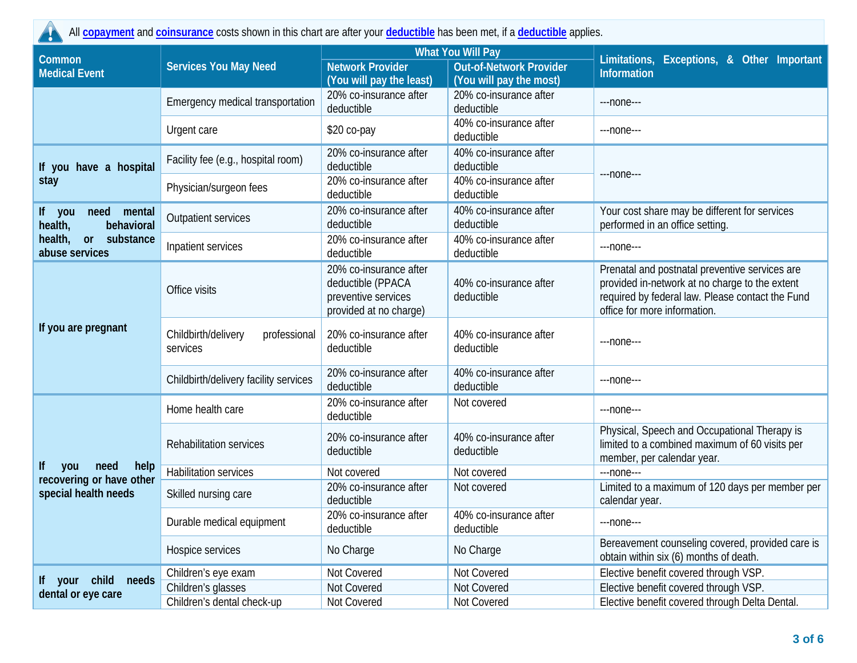All **[copayment](https://www.healthcare.gov/sbc-glossary/#copayment)** and **[coinsurance](https://www.healthcare.gov/sbc-glossary/#coinsurance)** costs shown in this chart are after your **[deductible](https://www.healthcare.gov/sbc-glossary/#deductible)** has been met, if a **[deductible](https://www.healthcare.gov/sbc-glossary/#deductible)** applies.

AN

|                                                   |                                                 |                                                                                              | <b>What You Will Pay</b>                                  |                                                                                                                                                                                      |  |  |
|---------------------------------------------------|-------------------------------------------------|----------------------------------------------------------------------------------------------|-----------------------------------------------------------|--------------------------------------------------------------------------------------------------------------------------------------------------------------------------------------|--|--|
| Common<br><b>Medical Event</b>                    | <b>Services You May Need</b>                    | <b>Network Provider</b><br>(You will pay the least)                                          | <b>Out-of-Network Provider</b><br>(You will pay the most) | Limitations, Exceptions, & Other Important<br><b>Information</b>                                                                                                                     |  |  |
|                                                   | Emergency medical transportation                | 20% co-insurance after<br>deductible                                                         | 20% co-insurance after<br>deductible                      | ---none---                                                                                                                                                                           |  |  |
|                                                   | Urgent care                                     | \$20 co-pay                                                                                  | 40% co-insurance after<br>deductible                      | ---none---                                                                                                                                                                           |  |  |
| If you have a hospital                            | Facility fee (e.g., hospital room)              | 20% co-insurance after<br>deductible                                                         | 40% co-insurance after<br>deductible                      |                                                                                                                                                                                      |  |  |
| stay                                              | Physician/surgeon fees                          | 20% co-insurance after<br>deductible                                                         | 40% co-insurance after<br>deductible                      | ---none---                                                                                                                                                                           |  |  |
| If you<br>need<br>mental<br>health,<br>behavioral | <b>Outpatient services</b>                      | 20% co-insurance after<br>deductible                                                         | 40% co-insurance after<br>deductible                      | Your cost share may be different for services<br>performed in an office setting.                                                                                                     |  |  |
| health,<br>substance<br>or<br>abuse services      | Inpatient services                              | 20% co-insurance after<br>deductible                                                         | 40% co-insurance after<br>deductible                      | ---none---                                                                                                                                                                           |  |  |
|                                                   | Office visits                                   | 20% co-insurance after<br>deductible (PPACA<br>preventive services<br>provided at no charge) | 40% co-insurance after<br>deductible                      | Prenatal and postnatal preventive services are<br>provided in-network at no charge to the extent<br>required by federal law. Please contact the Fund<br>office for more information. |  |  |
| If you are pregnant                               | Childbirth/delivery<br>professional<br>services | 20% co-insurance after<br>deductible                                                         | 40% co-insurance after<br>deductible                      | ---none---                                                                                                                                                                           |  |  |
|                                                   | Childbirth/delivery facility services           | 20% co-insurance after<br>deductible                                                         | 40% co-insurance after<br>deductible                      | ---none---                                                                                                                                                                           |  |  |
|                                                   | Home health care                                | 20% co-insurance after<br>deductible                                                         | Not covered                                               | ---none---                                                                                                                                                                           |  |  |
|                                                   | Rehabilitation services                         | 20% co-insurance after<br>deductible                                                         | 40% co-insurance after<br>deductible                      | Physical, Speech and Occupational Therapy is<br>limited to a combined maximum of 60 visits per<br>member, per calendar year.                                                         |  |  |
| lf<br>need<br>help<br>you                         | <b>Habilitation services</b>                    | Not covered                                                                                  | Not covered                                               | ---none---                                                                                                                                                                           |  |  |
| recovering or have other<br>special health needs  | Skilled nursing care                            | 20% co-insurance after<br>deductible                                                         | Not covered                                               | Limited to a maximum of 120 days per member per<br>calendar year.                                                                                                                    |  |  |
|                                                   | Durable medical equipment                       | 20% co-insurance after<br>deductible                                                         | 40% co-insurance after<br>deductible                      | $---none---$                                                                                                                                                                         |  |  |
|                                                   | Hospice services                                | No Charge                                                                                    | No Charge                                                 | Bereavement counseling covered, provided care is<br>obtain within six (6) months of death.                                                                                           |  |  |
|                                                   | Children's eye exam                             | Not Covered                                                                                  | Not Covered                                               | Elective benefit covered through VSP.                                                                                                                                                |  |  |
| If your child<br>needs                            | Children's glasses                              | Not Covered                                                                                  | Not Covered                                               | Elective benefit covered through VSP.                                                                                                                                                |  |  |
| dental or eye care                                | Children's dental check-up                      | Not Covered                                                                                  | Not Covered                                               | Elective benefit covered through Delta Dental.                                                                                                                                       |  |  |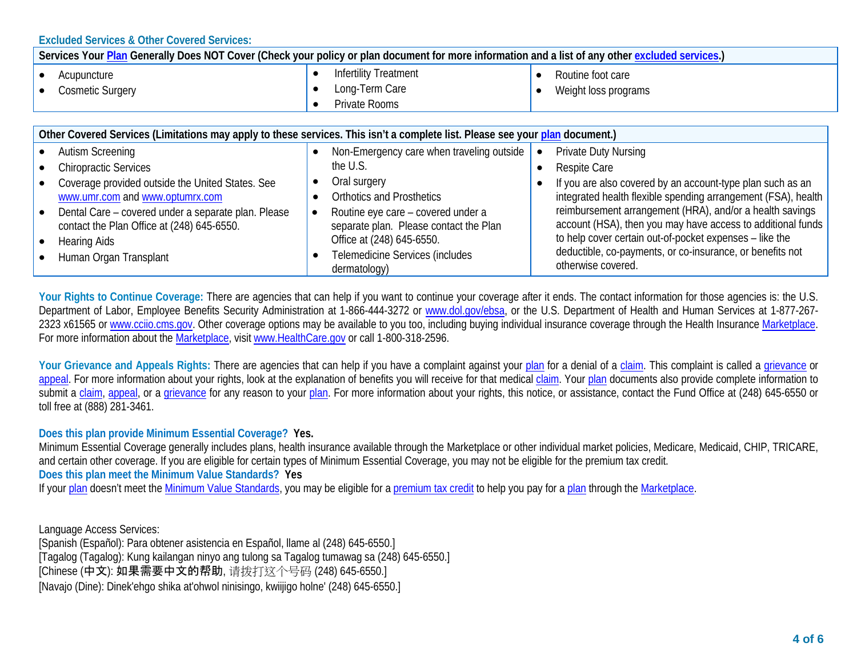**Excluded Services & Other Covered Services:**

| Services Your Plan Generally Does NOT Cover (Check your policy or plan document for more information and a list of any other excluded services.) |                                                                 |                                           |  |  |  |
|--------------------------------------------------------------------------------------------------------------------------------------------------|-----------------------------------------------------------------|-------------------------------------------|--|--|--|
| Acupuncture<br><b>Cosmetic Surgery</b>                                                                                                           | <b>Infertility Treatment</b><br>Long-Term Care<br>Private Rooms | Routine foot care<br>Weight loss programs |  |  |  |
| Other Covered Services (Limitations may apply to these services. This isn't a complete list. Please see your plan document.)                     |                                                                 |                                           |  |  |  |

|           | • Autism Screening                                                                  | Non-Emergency care when traveling outside        | <b>Private Duty Nursing</b>                                                                                                 |
|-----------|-------------------------------------------------------------------------------------|--------------------------------------------------|-----------------------------------------------------------------------------------------------------------------------------|
| $\bullet$ | <b>Chiropractic Services</b>                                                        | the U.S.                                         | <b>Respite Care</b>                                                                                                         |
| $\bullet$ | Coverage provided outside the United States. See<br>www.umr.com and www.optumrx.com | Oral surgery<br><b>Orthotics and Prosthetics</b> | If you are also covered by an account-type plan such as an<br>integrated health flexible spending arrangement (FSA), health |
|           |                                                                                     |                                                  |                                                                                                                             |
|           | • Dental Care – covered under a separate plan. Please                               | Routine eye care – covered under a               | reimbursement arrangement (HRA), and/or a health savings                                                                    |
|           | contact the Plan Office at (248) 645-6550.                                          | separate plan. Please contact the Plan           | account (HSA), then you may have access to additional funds                                                                 |
|           | • Hearing Aids                                                                      | Office at (248) 645-6550.                        | to help cover certain out-of-pocket expenses - like the                                                                     |
|           | • Human Organ Transplant                                                            | Telemedicine Services (includes                  | deductible, co-payments, or co-insurance, or benefits not                                                                   |
|           |                                                                                     | dermatology)                                     | otherwise covered.                                                                                                          |

Your Rights to Continue Coverage: There are agencies that can help if you want to continue your coverage after it ends. The contact information for those agencies is: the U.S. Department of Labor, Employee Benefits Security Administration at 1-866-444-3272 or [www.dol.gov/ebsa,](http://www.dol.gov/ebsa) or the U.S. Department of Health and Human Services at 1-877-2672323 x61565 o[r www.cciio.cms.gov.](http://www.cciio.cms.gov/) Other coverage options may be available to you too, including buying individual insurance coverage through the Health Insurance [Marketplace.](https://www.healthcare.gov/sbc-glossary/#marketplace) For more information about the [Marketplace,](https://www.healthcare.gov/sbc-glossary/#marketplace) visi[t www.HealthCare.gov](http://www.healthcare.gov/) or call 1-800-318-2596.

Your Grievance and Appeals Rights: There are agencies that can help if you have a complaint against your [plan](https://www.healthcare.gov/sbc-glossary/#plan) for a denial of a [claim.](https://www.healthcare.gov/sbc-glossary/#claim) This complaint is called a [grievance](https://www.healthcare.gov/sbc-glossary/#grievance) or [appeal.](https://www.healthcare.gov/sbc-glossary/#appeal) For more information about your rights, look at the explanation of benefits you will receive for that medical [claim.](https://www.healthcare.gov/sbc-glossary/#claim) Your [plan](https://www.healthcare.gov/sbc-glossary/#plan) documents also provide complete information to submit a [claim,](https://www.healthcare.gov/sbc-glossary/#claim) [appeal,](https://www.healthcare.gov/sbc-glossary/#appeal) or a [grievance](https://www.healthcare.gov/sbc-glossary/#grievance) for any reason to your [plan.](https://www.healthcare.gov/sbc-glossary/#plan) For more information about your rights, this notice, or assistance, contact the Fund Office at (248) 645-6550 or toll free at (888) 281-3461.

## **Does this plan provide Minimum Essential Coverage? Yes.**

Minimum Essential Coverage generally includes plans, health insurance available through the Marketplace or other individual market policies, Medicare, Medicaid, CHIP, TRICARE, and certain other coverage. If you are eligible for certain types of Minimum Essential Coverage, you may not be eligible for the premium tax credit. **Does this plan meet the Minimum Value Standards? Yes** If you[r plan](https://www.healthcare.gov/sbc-glossary/#plan) doesn't meet the [Minimum Value Standards,](https://www.healthcare.gov/sbc-glossary/#minimum-value-standard) you may be eligible for [a premium tax credit](https://www.healthcare.gov/sbc-glossary/#premium-tax-credits) to help you pay for a [plan](https://www.healthcare.gov/sbc-glossary/#plan) through the [Marketplace.](https://www.healthcare.gov/sbc-glossary/#marketplace)

Language Access Services: [Spanish (Español): Para obtener asistencia en Español, llame al (248) 645-6550.] [Tagalog (Tagalog): Kung kailangan ninyo ang tulong sa Tagalog tumawag sa (248) 645-6550.] [Chinese (中文): 如果需要中文的帮助, 请拨打这个号码 (248) 645-6550.] [Navajo (Dine): Dinek'ehgo shika at'ohwol ninisingo, kwiijigo holne' (248) 645-6550.]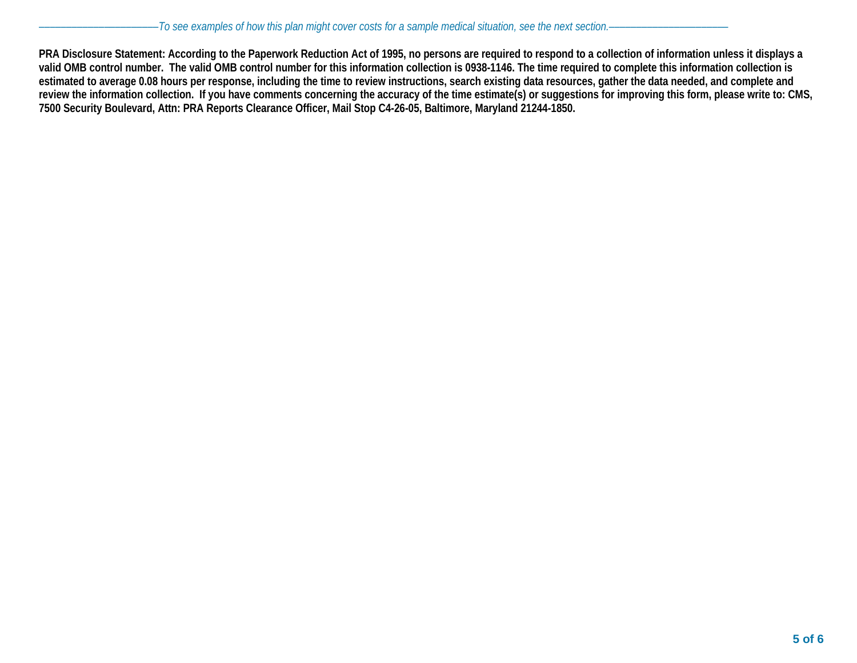**PRA Disclosure Statement: According to the Paperwork Reduction Act of 1995, no persons are required to respond to a collection of information unless it displays a valid OMB control number. The valid OMB control number for this information collection is 0938-1146. The time required to complete this information collection is estimated to average 0.08 hours per response, including the time to review instructions, search existing data resources, gather the data needed, and complete and review the information collection. If you have comments concerning the accuracy of the time estimate(s) or suggestions for improving this form, please write to: CMS, 7500 Security Boulevard, Attn: PRA Reports Clearance Officer, Mail Stop C4-26-05, Baltimore, Maryland 21244-1850.**